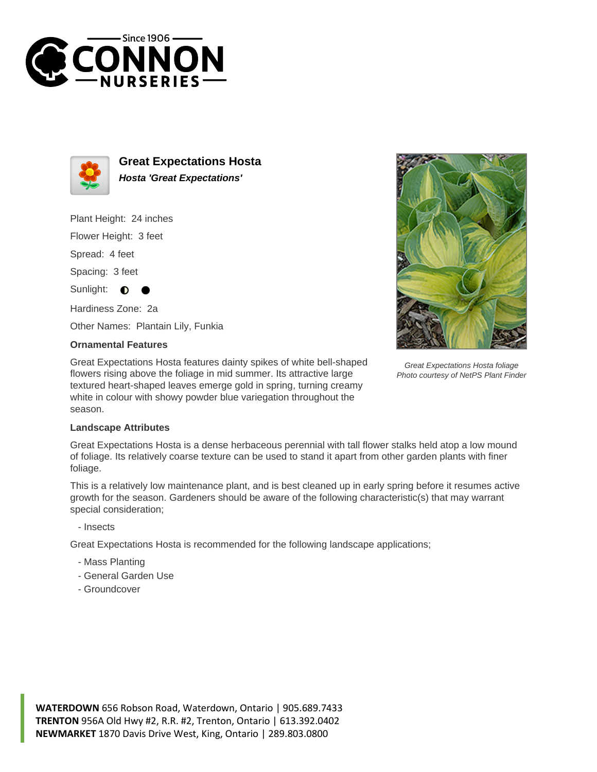



**Great Expectations Hosta Hosta 'Great Expectations'**

Plant Height: 24 inches

Flower Height: 3 feet

Spread: 4 feet

Spacing: 3 feet

Sunlight:  $\bullet$ 

Hardiness Zone: 2a

Other Names: Plantain Lily, Funkia

## **Ornamental Features**

Great Expectations Hosta features dainty spikes of white bell-shaped flowers rising above the foliage in mid summer. Its attractive large textured heart-shaped leaves emerge gold in spring, turning creamy white in colour with showy powder blue variegation throughout the season.



Great Expectations Hosta foliage Photo courtesy of NetPS Plant Finder

## **Landscape Attributes**

Great Expectations Hosta is a dense herbaceous perennial with tall flower stalks held atop a low mound of foliage. Its relatively coarse texture can be used to stand it apart from other garden plants with finer foliage.

This is a relatively low maintenance plant, and is best cleaned up in early spring before it resumes active growth for the season. Gardeners should be aware of the following characteristic(s) that may warrant special consideration;

- Insects

Great Expectations Hosta is recommended for the following landscape applications;

- Mass Planting
- General Garden Use
- Groundcover

**WATERDOWN** 656 Robson Road, Waterdown, Ontario | 905.689.7433 **TRENTON** 956A Old Hwy #2, R.R. #2, Trenton, Ontario | 613.392.0402 **NEWMARKET** 1870 Davis Drive West, King, Ontario | 289.803.0800